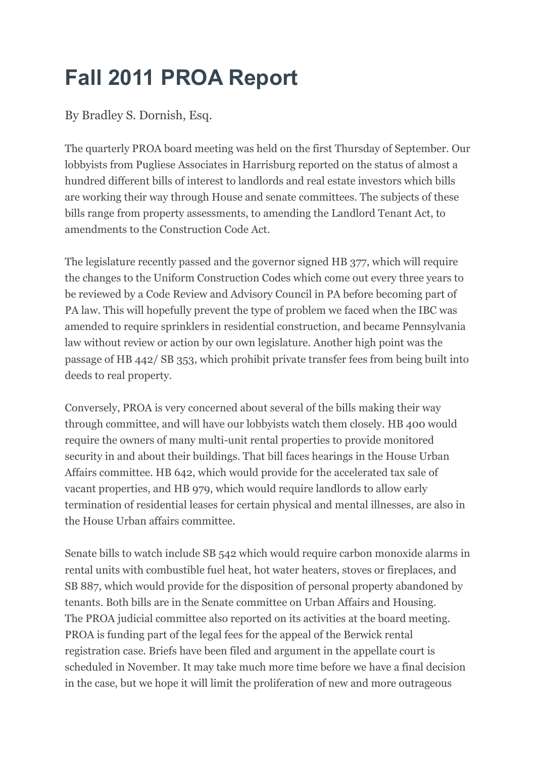## **Fall 2011 PROA Report**

By Bradley S. Dornish, Esq.

The quarterly PROA board meeting was held on the first Thursday of September. Our lobbyists from Pugliese Associates in Harrisburg reported on the status of almost a hundred different bills of interest to landlords and real estate investors which bills are working their way through House and senate committees. The subjects of these bills range from property assessments, to amending the Landlord Tenant Act, to amendments to the Construction Code Act.

The legislature recently passed and the governor signed HB 377, which will require the changes to the Uniform Construction Codes which come out every three years to be reviewed by a Code Review and Advisory Council in PA before becoming part of PA law. This will hopefully prevent the type of problem we faced when the IBC was amended to require sprinklers in residential construction, and became Pennsylvania law without review or action by our own legislature. Another high point was the passage of HB 442/ SB 353, which prohibit private transfer fees from being built into deeds to real property.

Conversely, PROA is very concerned about several of the bills making their way through committee, and will have our lobbyists watch them closely. HB 400 would require the owners of many multi-unit rental properties to provide monitored security in and about their buildings. That bill faces hearings in the House Urban Affairs committee. HB 642, which would provide for the accelerated tax sale of vacant properties, and HB 979, which would require landlords to allow early termination of residential leases for certain physical and mental illnesses, are also in the House Urban affairs committee.

Senate bills to watch include SB 542 which would require carbon monoxide alarms in rental units with combustible fuel heat, hot water heaters, stoves or fireplaces, and SB 887, which would provide for the disposition of personal property abandoned by tenants. Both bills are in the Senate committee on Urban Affairs and Housing. The PROA judicial committee also reported on its activities at the board meeting. PROA is funding part of the legal fees for the appeal of the Berwick rental registration case. Briefs have been filed and argument in the appellate court is scheduled in November. It may take much more time before we have a final decision in the case, but we hope it will limit the proliferation of new and more outrageous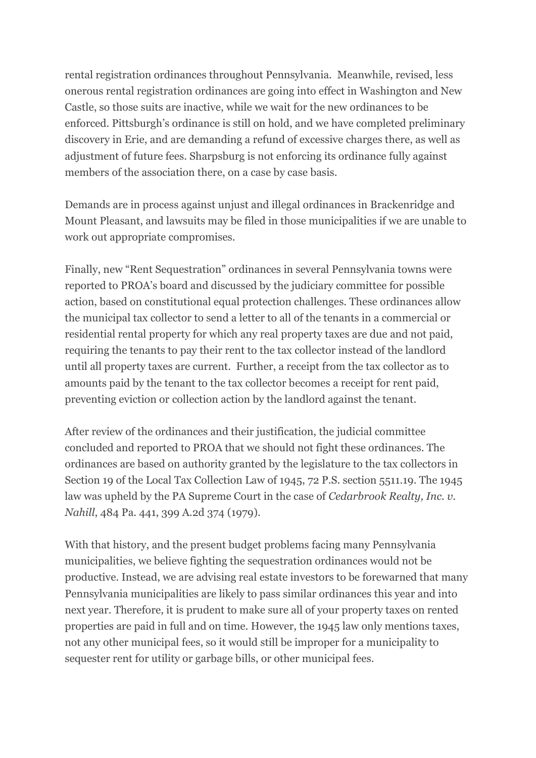rental registration ordinances throughout Pennsylvania. Meanwhile, revised, less onerous rental registration ordinances are going into effect in Washington and New Castle, so those suits are inactive, while we wait for the new ordinances to be enforced. Pittsburgh's ordinance is still on hold, and we have completed preliminary discovery in Erie, and are demanding a refund of excessive charges there, as well as adjustment of future fees. Sharpsburg is not enforcing its ordinance fully against members of the association there, on a case by case basis.

Demands are in process against unjust and illegal ordinances in Brackenridge and Mount Pleasant, and lawsuits may be filed in those municipalities if we are unable to work out appropriate compromises.

Finally, new "Rent Sequestration" ordinances in several Pennsylvania towns were reported to PROA's board and discussed by the judiciary committee for possible action, based on constitutional equal protection challenges. These ordinances allow the municipal tax collector to send a letter to all of the tenants in a commercial or residential rental property for which any real property taxes are due and not paid, requiring the tenants to pay their rent to the tax collector instead of the landlord until all property taxes are current. Further, a receipt from the tax collector as to amounts paid by the tenant to the tax collector becomes a receipt for rent paid, preventing eviction or collection action by the landlord against the tenant.

After review of the ordinances and their justification, the judicial committee concluded and reported to PROA that we should not fight these ordinances. The ordinances are based on authority granted by the legislature to the tax collectors in Section 19 of the Local Tax Collection Law of 1945, 72 P.S. section 5511.19. The 1945 law was upheld by the PA Supreme Court in the case of *Cedarbrook Realty, Inc. v. Nahill*, 484 Pa. 441, 399 A.2d 374 (1979).

With that history, and the present budget problems facing many Pennsylvania municipalities, we believe fighting the sequestration ordinances would not be productive. Instead, we are advising real estate investors to be forewarned that many Pennsylvania municipalities are likely to pass similar ordinances this year and into next year. Therefore, it is prudent to make sure all of your property taxes on rented properties are paid in full and on time. However, the 1945 law only mentions taxes, not any other municipal fees, so it would still be improper for a municipality to sequester rent for utility or garbage bills, or other municipal fees.